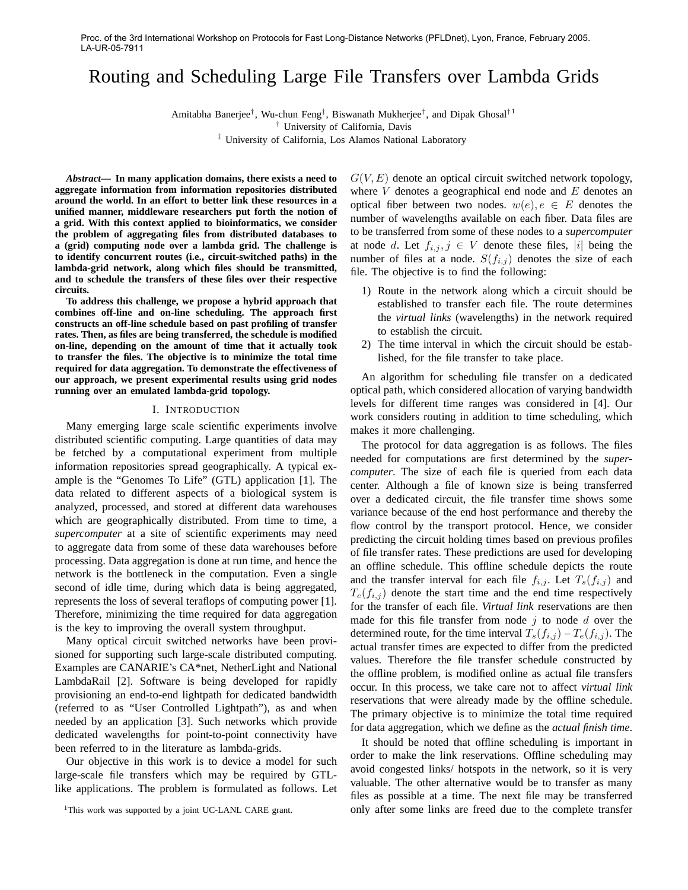# Routing and Scheduling Large File Transfers over Lambda Grids

Amitabha Banerjee<sup>†</sup>, Wu-chun Feng<sup>‡</sup>, Biswanath Mukherjee<sup>†</sup>, and Dipak Ghosal<sup>†1</sup>

† University of California, Davis

‡ University of California, Los Alamos National Laboratory

*Abstract***— In many application domains, there exists a need to aggregate information from information repositories distributed around the world. In an effort to better link these resources in a unified manner, middleware researchers put forth the notion of a grid. With this context applied to bioinformatics, we consider the problem of aggregating files from distributed databases to a (grid) computing node over a lambda grid. The challenge is to identify concurrent routes (i.e., circuit-switched paths) in the lambda-grid network, along which files should be transmitted, and to schedule the transfers of these files over their respective circuits.**

**To address this challenge, we propose a hybrid approach that combines off-line and on-line scheduling. The approach first constructs an off-line schedule based on past profiling of transfer rates. Then, as files are being transferred, the schedule is modified on-line, depending on the amount of time that it actually took to transfer the files. The objective is to minimize the total time required for data aggregation. To demonstrate the effectiveness of our approach, we present experimental results using grid nodes running over an emulated lambda-grid topology.**

#### I. INTRODUCTION

Many emerging large scale scientific experiments involve distributed scientific computing. Large quantities of data may be fetched by a computational experiment from multiple information repositories spread geographically. A typical example is the "Genomes To Life" (GTL) application [1]. The data related to different aspects of a biological system is analyzed, processed, and stored at different data warehouses which are geographically distributed. From time to time, a *supercomputer* at a site of scientific experiments may need to aggregate data from some of these data warehouses before processing. Data aggregation is done at run time, and hence the network is the bottleneck in the computation. Even a single second of idle time, during which data is being aggregated, represents the loss of several teraflops of computing power [1]. Therefore, minimizing the time required for data aggregation is the key to improving the overall system throughput.

Many optical circuit switched networks have been provisioned for supporting such large-scale distributed computing. Examples are CANARIE's CA\*net, NetherLight and National LambdaRail [2]. Software is being developed for rapidly provisioning an end-to-end lightpath for dedicated bandwidth (referred to as "User Controlled Lightpath"), as and when needed by an application [3]. Such networks which provide dedicated wavelengths for point-to-point connectivity have been referred to in the literature as lambda-grids.

Our objective in this work is to device a model for such large-scale file transfers which may be required by GTLlike applications. The problem is formulated as follows. Let  $G(V, E)$  denote an optical circuit switched network topology, where  $V$  denotes a geographical end node and  $E$  denotes an optical fiber between two nodes.  $w(e)$ ,  $e \in E$  denotes the number of wavelengths available on each fiber. Data files are to be transferred from some of these nodes to a *supercomputer* at node d. Let  $f_{i,j}, j \in V$  denote these files, |i| being the number of files at a node.  $S(f_{i,j})$  denotes the size of each file. The objective is to find the following:

- 1) Route in the network along which a circuit should be established to transfer each file. The route determines the *virtual links* (wavelengths) in the network required to establish the circuit.
- 2) The time interval in which the circuit should be established, for the file transfer to take place.

An algorithm for scheduling file transfer on a dedicated optical path, which considered allocation of varying bandwidth levels for different time ranges was considered in [4]. Our work considers routing in addition to time scheduling, which makes it more challenging.

The protocol for data aggregation is as follows. The files needed for computations are first determined by the *supercomputer*. The size of each file is queried from each data center. Although a file of known size is being transferred over a dedicated circuit, the file transfer time shows some variance because of the end host performance and thereby the flow control by the transport protocol. Hence, we consider predicting the circuit holding times based on previous profiles of file transfer rates. These predictions are used for developing an offline schedule. This offline schedule depicts the route and the transfer interval for each file  $f_{i,j}$ . Let  $T_s(f_{i,j})$  and  $T_e(f_{i,j})$  denote the start time and the end time respectively for the transfer of each file. *Virtual link* reservations are then made for this file transfer from node  $j$  to node  $d$  over the determined route, for the time interval  $T_s(f_{i,j}) - T_e(f_{i,j})$ . The actual transfer times are expected to differ from the predicted values. Therefore the file transfer schedule constructed by the offline problem, is modified online as actual file transfers occur. In this process, we take care not to affect *virtual link* reservations that were already made by the offline schedule. The primary objective is to minimize the total time required for data aggregation, which we define as the *actual finish time*.

It should be noted that offline scheduling is important in order to make the link reservations. Offline scheduling may avoid congested links/ hotspots in the network, so it is very valuable. The other alternative would be to transfer as many files as possible at a time. The next file may be transferred only after some links are freed due to the complete transfer

<sup>&</sup>lt;sup>1</sup>This work was supported by a joint UC-LANL CARE grant.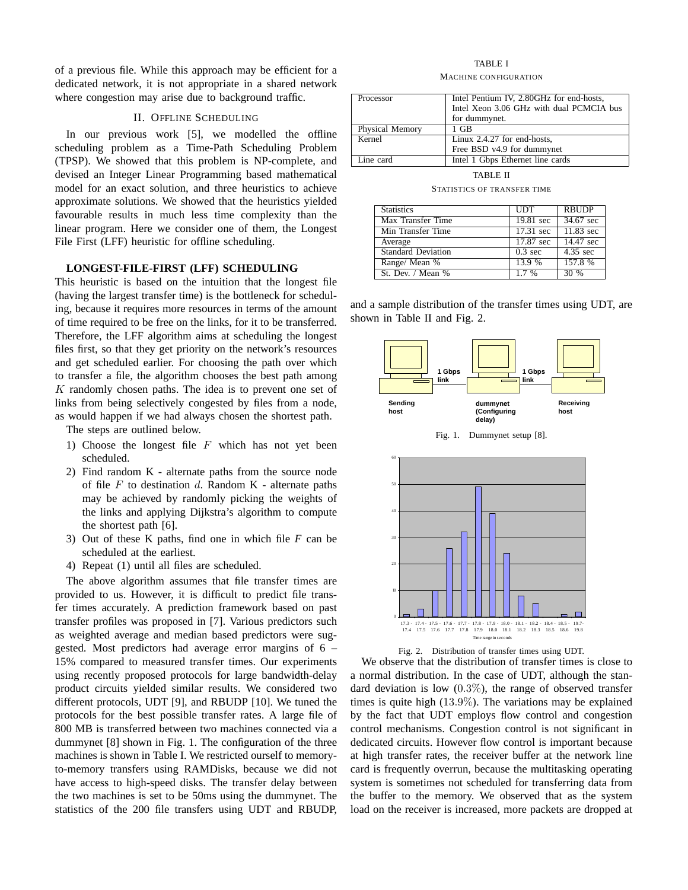of a previous file. While this approach may be efficient for a dedicated network, it is not appropriate in a shared network where congestion may arise due to background traffic.

# II. OFFLINE SCHEDULING

In our previous work [5], we modelled the offline scheduling problem as a Time-Path Scheduling Problem (TPSP). We showed that this problem is NP-complete, and devised an Integer Linear Programming based mathematical model for an exact solution, and three heuristics to achieve approximate solutions. We showed that the heuristics yielded favourable results in much less time complexity than the linear program. Here we consider one of them, the Longest File First (LFF) heuristic for offline scheduling.

## **LONGEST-FILE-FIRST (LFF) SCHEDULING**

This heuristic is based on the intuition that the longest file (having the largest transfer time) is the bottleneck for scheduling, because it requires more resources in terms of the amount of time required to be free on the links, for it to be transferred. Therefore, the LFF algorithm aims at scheduling the longest files first, so that they get priority on the network's resources and get scheduled earlier. For choosing the path over which to transfer a file, the algorithm chooses the best path among  $K$  randomly chosen paths. The idea is to prevent one set of links from being selectively congested by files from a node, as would happen if we had always chosen the shortest path.

The steps are outlined below.

- 1) Choose the longest file  $F$  which has not yet been scheduled.
- 2) Find random K alternate paths from the source node of file  $F$  to destination  $d$ . Random K - alternate paths may be achieved by randomly picking the weights of the links and applying Dijkstra's algorithm to compute the shortest path [6].
- 3) Out of these K paths, find one in which file *F* can be scheduled at the earliest.
- 4) Repeat (1) until all files are scheduled.

The above algorithm assumes that file transfer times are provided to us. However, it is difficult to predict file transfer times accurately. A prediction framework based on past transfer profiles was proposed in [7]. Various predictors such as weighted average and median based predictors were suggested. Most predictors had average error margins of 6 – 15% compared to measured transfer times. Our experiments using recently proposed protocols for large bandwidth-delay product circuits yielded similar results. We considered two different protocols, UDT [9], and RBUDP [10]. We tuned the protocols for the best possible transfer rates. A large file of 800 MB is transferred between two machines connected via a dummynet [8] shown in Fig. 1. The configuration of the three machines is shown in Table I. We restricted ourself to memoryto-memory transfers using RAMDisks, because we did not have access to high-speed disks. The transfer delay between the two machines is set to be 50ms using the dummynet. The statistics of the 200 file transfers using UDT and RBUDP,

# TABLE I

#### MACHINE CONFIGURATION

| Processor       | Intel Pentium IV, 2.80GHz for end-hosts, |  |  |
|-----------------|------------------------------------------|--|--|
|                 | Intel Xeon 3.06 GHz with dual PCMCIA bus |  |  |
|                 | for dummynet.                            |  |  |
| Physical Memory | $1$ GB                                   |  |  |
| Kernel          | Linux 2.4.27 for end-hosts,              |  |  |
|                 | Free BSD v4.9 for dummynet               |  |  |
| Line card       | Intel 1 Gbps Ethernet line cards         |  |  |

TABLE II

STATISTICS OF TRANSFER TIME

| <b>Statistics</b>         | <b>UDT</b>          | <b>RBUDP</b>           |
|---------------------------|---------------------|------------------------|
| Max Transfer Time         | 19.81 sec           | $34.67$ sec            |
| Min Transfer Time         | $17.31 \text{ sec}$ | $11.83 \text{ sec}$    |
| Average                   | 17.87 sec           | $\overline{14.47}$ sec |
| <b>Standard Deviation</b> | $0.3 \text{ sec}$   | 4.35 sec               |
| Range/ Mean %             | 13.9 %              | 157.8 %                |
| St. Dev. / Mean %         | $1.7\%$             | $\overline{30}$ %      |

and a sample distribution of the transfer times using UDT, are shown in Table II and Fig. 2.









We observe that the distribution of transfer times is close to a normal distribution. In the case of UDT, although the standard deviation is low  $(0.3\%)$ , the range of observed transfer times is quite high (13.9%). The variations may be explained by the fact that UDT employs flow control and congestion control mechanisms. Congestion control is not significant in dedicated circuits. However flow control is important because at high transfer rates, the receiver buffer at the network line card is frequently overrun, because the multitasking operating system is sometimes not scheduled for transferring data from the buffer to the memory. We observed that as the system load on the receiver is increased, more packets are dropped at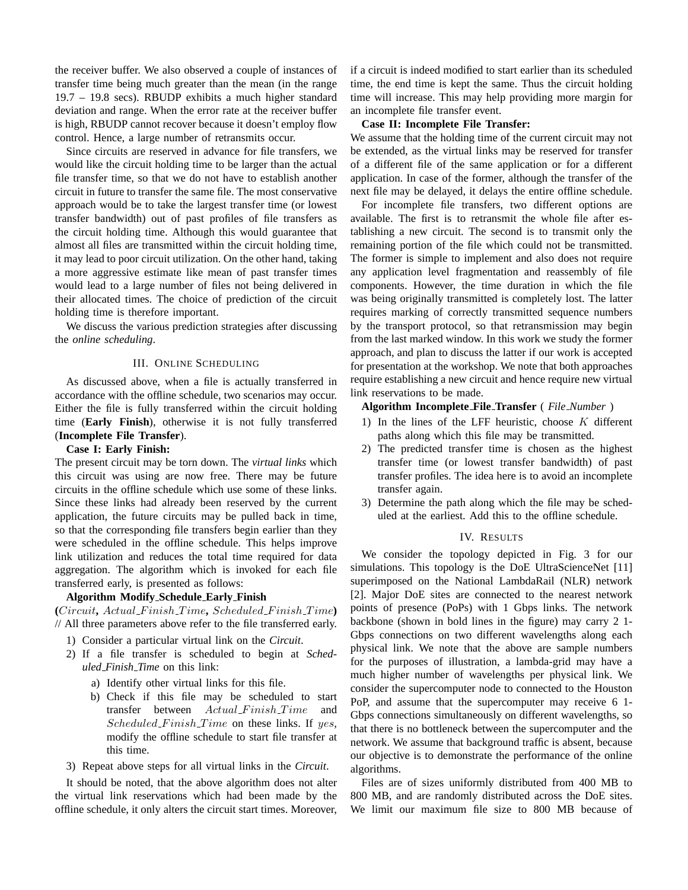the receiver buffer. We also observed a couple of instances of transfer time being much greater than the mean (in the range 19.7 – 19.8 secs). RBUDP exhibits a much higher standard deviation and range. When the error rate at the receiver buffer is high, RBUDP cannot recover because it doesn't employ flow control. Hence, a large number of retransmits occur.

Since circuits are reserved in advance for file transfers, we would like the circuit holding time to be larger than the actual file transfer time, so that we do not have to establish another circuit in future to transfer the same file. The most conservative approach would be to take the largest transfer time (or lowest transfer bandwidth) out of past profiles of file transfers as the circuit holding time. Although this would guarantee that almost all files are transmitted within the circuit holding time, it may lead to poor circuit utilization. On the other hand, taking a more aggressive estimate like mean of past transfer times would lead to a large number of files not being delivered in their allocated times. The choice of prediction of the circuit holding time is therefore important.

We discuss the various prediction strategies after discussing the *online scheduling*.

## III. ONLINE SCHEDULING

As discussed above, when a file is actually transferred in accordance with the offline schedule, two scenarios may occur. Either the file is fully transferred within the circuit holding time (**Early Finish**), otherwise it is not fully transferred (**Incomplete File Transfer**).

#### **Case I: Early Finish:**

The present circuit may be torn down. The *virtual links* which this circuit was using are now free. There may be future circuits in the offline schedule which use some of these links. Since these links had already been reserved by the current application, the future circuits may be pulled back in time, so that the corresponding file transfers begin earlier than they were scheduled in the offline schedule. This helps improve link utilization and reduces the total time required for data aggregation. The algorithm which is invoked for each file transferred early, is presented as follows:

## **Algorithm Modify Schedule Early Finish**

**(**Circuit**,** Actual F inish T ime**,** Scheduled F inish T ime**)** // All three parameters above refer to the file transferred early.

- 1) Consider a particular virtual link on the *Circuit*.
- 2) If a file transfer is scheduled to begin at *Scheduled Finish Time* on this link:
	- a) Identify other virtual links for this file.
	- b) Check if this file may be scheduled to start transfer between  $Actual\_F inish\_Time$  and Scheduled Finish Time on these links. If yes, modify the offline schedule to start file transfer at this time.
- 3) Repeat above steps for all virtual links in the *Circuit*.

It should be noted, that the above algorithm does not alter the virtual link reservations which had been made by the offline schedule, it only alters the circuit start times. Moreover, if a circuit is indeed modified to start earlier than its scheduled time, the end time is kept the same. Thus the circuit holding time will increase. This may help providing more margin for an incomplete file transfer event.

# **Case II: Incomplete File Transfer:**

We assume that the holding time of the current circuit may not be extended, as the virtual links may be reserved for transfer of a different file of the same application or for a different application. In case of the former, although the transfer of the next file may be delayed, it delays the entire offline schedule.

For incomplete file transfers, two different options are available. The first is to retransmit the whole file after establishing a new circuit. The second is to transmit only the remaining portion of the file which could not be transmitted. The former is simple to implement and also does not require any application level fragmentation and reassembly of file components. However, the time duration in which the file was being originally transmitted is completely lost. The latter requires marking of correctly transmitted sequence numbers by the transport protocol, so that retransmission may begin from the last marked window. In this work we study the former approach, and plan to discuss the latter if our work is accepted for presentation at the workshop. We note that both approaches require establishing a new circuit and hence require new virtual link reservations to be made.

## **Algorithm Incomplete File Transfer** ( *File Number* )

- 1) In the lines of the LFF heuristic, choose  $K$  different paths along which this file may be transmitted.
- 2) The predicted transfer time is chosen as the highest transfer time (or lowest transfer bandwidth) of past transfer profiles. The idea here is to avoid an incomplete transfer again.
- 3) Determine the path along which the file may be scheduled at the earliest. Add this to the offline schedule.

# IV. RESULTS

We consider the topology depicted in Fig. 3 for our simulations. This topology is the DoE UltraScienceNet [11] superimposed on the National LambdaRail (NLR) network [2]. Major DoE sites are connected to the nearest network points of presence (PoPs) with 1 Gbps links. The network backbone (shown in bold lines in the figure) may carry 2 1- Gbps connections on two different wavelengths along each physical link. We note that the above are sample numbers for the purposes of illustration, a lambda-grid may have a much higher number of wavelengths per physical link. We consider the supercomputer node to connected to the Houston PoP, and assume that the supercomputer may receive 6 1- Gbps connections simultaneously on different wavelengths, so that there is no bottleneck between the supercomputer and the network. We assume that background traffic is absent, because our objective is to demonstrate the performance of the online algorithms.

Files are of sizes uniformly distributed from 400 MB to 800 MB, and are randomly distributed across the DoE sites. We limit our maximum file size to 800 MB because of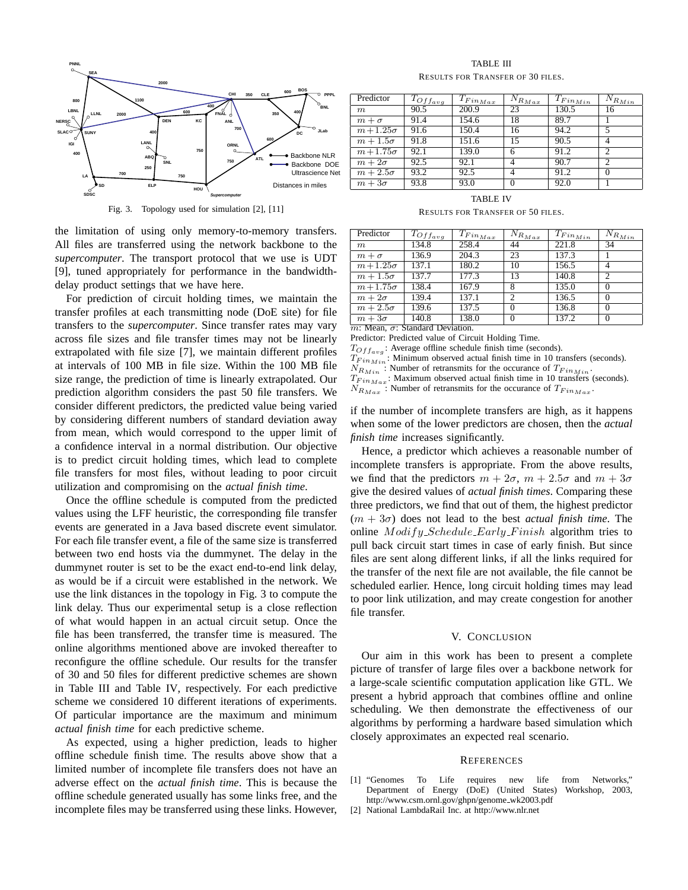

Fig. 3. Topology used for simulation [2], [11]

the limitation of using only memory-to-memory transfers. All files are transferred using the network backbone to the *supercomputer*. The transport protocol that we use is UDT [9], tuned appropriately for performance in the bandwidthdelay product settings that we have here.

For prediction of circuit holding times, we maintain the transfer profiles at each transmitting node (DoE site) for file transfers to the *supercomputer*. Since transfer rates may vary across file sizes and file transfer times may not be linearly extrapolated with file size [7], we maintain different profiles at intervals of 100 MB in file size. Within the 100 MB file size range, the prediction of time is linearly extrapolated. Our prediction algorithm considers the past 50 file transfers. We consider different predictors, the predicted value being varied by considering different numbers of standard deviation away from mean, which would correspond to the upper limit of a confidence interval in a normal distribution. Our objective is to predict circuit holding times, which lead to complete file transfers for most files, without leading to poor circuit utilization and compromising on the *actual finish time*.

Once the offline schedule is computed from the predicted values using the LFF heuristic, the corresponding file transfer events are generated in a Java based discrete event simulator. For each file transfer event, a file of the same size is transferred between two end hosts via the dummynet. The delay in the dummynet router is set to be the exact end-to-end link delay, as would be if a circuit were established in the network. We use the link distances in the topology in Fig. 3 to compute the link delay. Thus our experimental setup is a close reflection of what would happen in an actual circuit setup. Once the file has been transferred, the transfer time is measured. The online algorithms mentioned above are invoked thereafter to reconfigure the offline schedule. Our results for the transfer of 30 and 50 files for different predictive schemes are shown in Table III and Table IV, respectively. For each predictive scheme we considered 10 different iterations of experiments. Of particular importance are the maximum and minimum *actual finish time* for each predictive scheme.

As expected, using a higher prediction, leads to higher offline schedule finish time. The results above show that a limited number of incomplete file transfers does not have an adverse effect on the *actual finish time*. This is because the offline schedule generated usually has some links free, and the incomplete files may be transferred using these links. However,

TABLE III RESULTS FOR TRANSFER OF 30 FILES.

| Predictor      | $T_{Offavg}$ | $T_{Fin_{Max}}$ | $N_{R_{\underline{Max}}}$ | $T_{Fin_{Min}}$ | $N_{R_{M\underline{i}n}}$ |
|----------------|--------------|-----------------|---------------------------|-----------------|---------------------------|
| m              | 90.5         | 200.9           | 23                        | 130.5           | 16                        |
| $m + \sigma$   | 91.4         | 154.6           | 18                        | 89.7            |                           |
| $m+1.25\sigma$ | 91.6         | 150.4           | 16                        | 94.2            | 5                         |
| $m+1.5\sigma$  | 91.8         | 151.6           | 15                        | 90.5            |                           |
| $m+1.75\sigma$ | 92.1         | 139.0           | 6                         | 91.2            | $\overline{c}$            |
| $m+2\sigma$    | 92.5         | 92.1            |                           | 90.7            | $\overline{c}$            |
| $m+2.5\sigma$  | 93.2         | 92.5            |                           | 91.2            | 0                         |
| $m+3\sigma$    | 93.8         | 93.0            |                           | 92.0            |                           |

TABLE IV

RESULTS FOR TRANSFER OF 50 FILES.

| Predictor       | $T_{Of_{avg}}$ | . $\overline{T}_{Fin_{Max}}$ | $N_{R_{\underline{Max}}}$ | $T_{Fin_{Min}}$ | . $\overline{N}_{R_{\underline{Min}}}$ |
|-----------------|----------------|------------------------------|---------------------------|-----------------|----------------------------------------|
| $m_{\parallel}$ | 134.8          | 258.4                        | 44                        | 221.8           | 34                                     |
| $m + \sigma$    | 136.9          | 204.3                        | 23                        | 137.3           |                                        |
| $m+1.25\sigma$  | 137.1          | 180.2                        | 10                        | 156.5           |                                        |
| $m+1.5\sigma$   | 137.7          | 177.3                        | 13                        | 140.8           | $\overline{c}$                         |
| $m+1.75\sigma$  | 138.4          | 167.9                        | 8                         | 135.0           | $\Omega$                               |
| $m+2\sigma$     | 139.4          | 137.1                        | $\mathfrak{D}$            | 136.5           | $\Omega$                               |
| $m+2.5\sigma$   | 139.6          | 137.5                        | $\theta$                  | 136.8           | $\Omega$                               |
| $m+3\sigma$     | 140.8          | 138.0                        | 0                         | 137.2           | $\Omega$                               |

 $m: Mean, \sigma: Standard Deviation.$ 

Predictor: Predicted value of Circuit Holding Time.

 $T_{Offavg}$ : Average offline schedule finish time (seconds).

 $T_{Fin_{Min}}$ : Minimum observed actual finish time in 10 transfers (seconds).

 $N_{R_{Min}}$ : Number of retransmits for the occurance of  $T_{Fin_{Min}}$ .

 $T_{Fin_{Max}}$ : Maximum observed actual finish time in 10 transfers (seconds).

 $N_{R_{Max}}$ : Number of retransmits for the occurance of  $T_{Fin_{Max}}$ .

if the number of incomplete transfers are high, as it happens when some of the lower predictors are chosen, then the *actual finish time* increases significantly.

Hence, a predictor which achieves a reasonable number of incomplete transfers is appropriate. From the above results, we find that the predictors  $m + 2\sigma$ ,  $m + 2.5\sigma$  and  $m + 3\sigma$ give the desired values of *actual finish times*. Comparing these three predictors, we find that out of them, the highest predictor  $(m + 3\sigma)$  does not lead to the best *actual finish time*. The online  $Modify\_Scheduling\_Early\_Finish$  algorithm tries to pull back circuit start times in case of early finish. But since files are sent along different links, if all the links required for the transfer of the next file are not available, the file cannot be scheduled earlier. Hence, long circuit holding times may lead to poor link utilization, and may create congestion for another file transfer.

## V. CONCLUSION

Our aim in this work has been to present a complete picture of transfer of large files over a backbone network for a large-scale scientific computation application like GTL. We present a hybrid approach that combines offline and online scheduling. We then demonstrate the effectiveness of our algorithms by performing a hardware based simulation which closely approximates an expected real scenario.

#### **REFERENCES**

- [1] "Genomes To Life requires new life from Networks," Department of Energy (DoE) (United States) Workshop, 2003, http://www.csm.ornl.gov/ghpn/genome wk2003.pdf
- [2] National LambdaRail Inc. at http://www.nlr.net